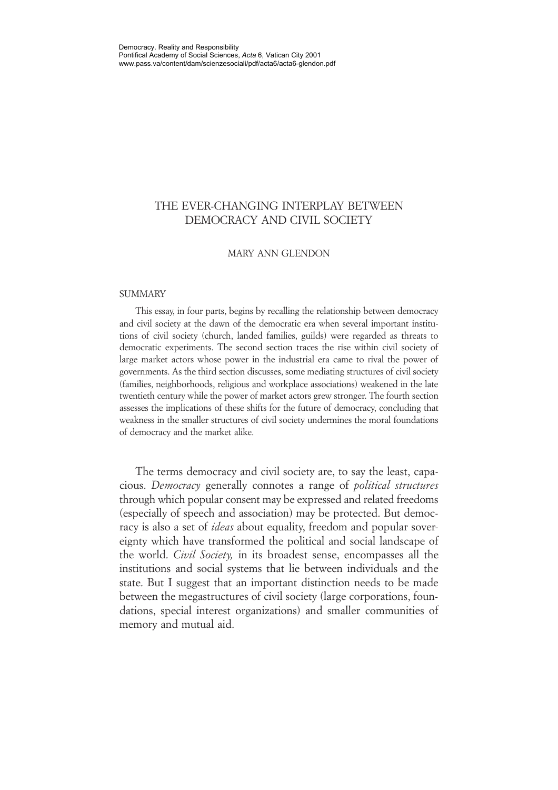# THE EVER-CHANGING INTERPLAY BETWEEN DEMOCRACY AND CIVIL SOCIETY

### MARY ANN GLENDON

#### **SUMMARY**

This essay, in four parts, begins by recalling the relationship between democracy and civil society at the dawn of the democratic era when several important institutions of civil society (church, landed families, guilds) were regarded as threats to democratic experiments. The second section traces the rise within civil society of large market actors whose power in the industrial era came to rival the power of governments. As the third section discusses, some mediating structures of civil society (families, neighborhoods, religious and workplace associations) weakened in the late twentieth century while the power of market actors grew stronger. The fourth section assesses the implications of these shifts for the future of democracy, concluding that weakness in the smaller structures of civil society undermines the moral foundations of democracy and the market alike.

The terms democracy and civil society are, to say the least, capacious. *Democracy* generally connotes a range of *political structures* through which popular consent may be expressed and related freedoms (especially of speech and association) may be protected. But democracy is also a set of *ideas* about equality, freedom and popular sovereignty which have transformed the political and social landscape of the world. *Civil Society,* in its broadest sense, encompasses all the institutions and social systems that lie between individuals and the state. But I suggest that an important distinction needs to be made between the megastructures of civil society (large corporations, foundations, special interest organizations) and smaller communities of memory and mutual aid.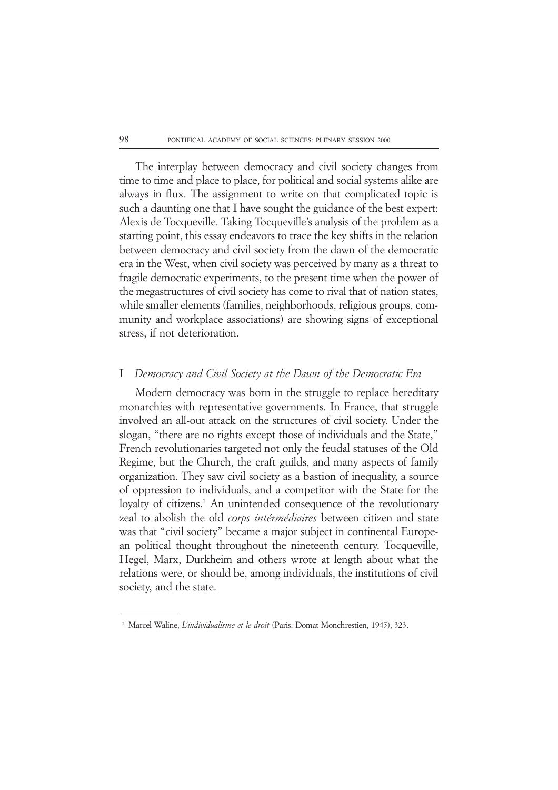The interplay between democracy and civil society changes from time to time and place to place, for political and social systems alike are always in flux. The assignment to write on that complicated topic is such a daunting one that I have sought the guidance of the best expert: Alexis de Tocqueville. Taking Tocqueville's analysis of the problem as a starting point, this essay endeavors to trace the key shifts in the relation between democracy and civil society from the dawn of the democratic era in the West, when civil society was perceived by many as a threat to fragile democratic experiments, to the present time when the power of the megastructures of civil society has come to rival that of nation states, while smaller elements (families, neighborhoods, religious groups, community and workplace associations) are showing signs of exceptional stress, if not deterioration.

### I *Democracy and Civil Society at the Dawn of the Democratic Era*

Modern democracy was born in the struggle to replace hereditary monarchies with representative governments. In France, that struggle involved an all-out attack on the structures of civil society. Under the slogan, "there are no rights except those of individuals and the State," French revolutionaries targeted not only the feudal statuses of the Old Regime, but the Church, the craft guilds, and many aspects of family organization. They saw civil society as a bastion of inequality, a source of oppression to individuals, and a competitor with the State for the loyalty of citizens.<sup>1</sup> An unintended consequence of the revolutionary zeal to abolish the old *corps intérmédiaires* between citizen and state was that "civil society" became a major subject in continental European political thought throughout the nineteenth century. Tocqueville, Hegel, Marx, Durkheim and others wrote at length about what the relations were, or should be, among individuals, the institutions of civil society, and the state.

<sup>11</sup> Marcel Waline, *L'individualisme et le droit* (Paris: Domat Monchrestien, 1945), 323.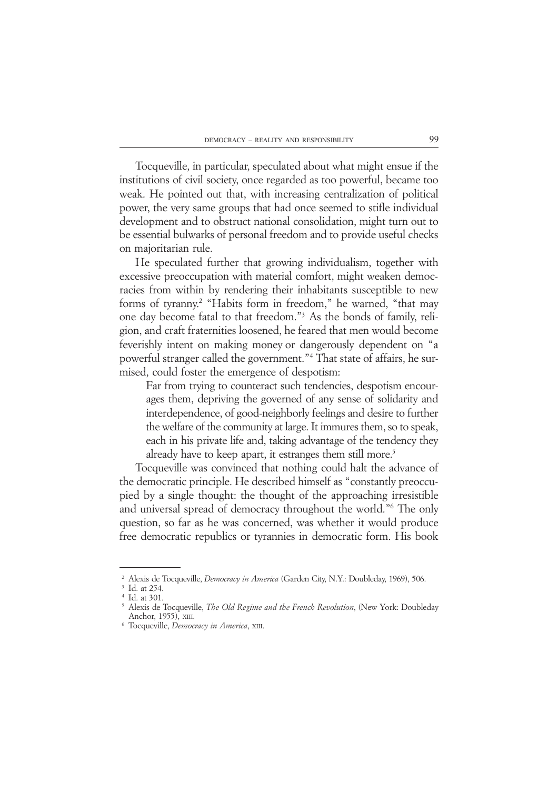Tocqueville, in particular, speculated about what might ensue if the institutions of civil society, once regarded as too powerful, became too weak. He pointed out that, with increasing centralization of political power, the very same groups that had once seemed to stifle individual development and to obstruct national consolidation, might turn out to be essential bulwarks of personal freedom and to provide useful checks on majoritarian rule.

He speculated further that growing individualism, together with excessive preoccupation with material comfort, might weaken democracies from within by rendering their inhabitants susceptible to new forms of tyranny.<sup>2</sup> "Habits form in freedom," he warned, "that may one day become fatal to that freedom."3 As the bonds of family, religion, and craft fraternities loosened, he feared that men would become feverishly intent on making money or dangerously dependent on "a powerful stranger called the government."4 That state of affairs, he surmised, could foster the emergence of despotism:

Far from trying to counteract such tendencies, despotism encourages them, depriving the governed of any sense of solidarity and interdependence, of good-neighborly feelings and desire to further the welfare of the community at large. It immures them, so to speak, each in his private life and, taking advantage of the tendency they already have to keep apart, it estranges them still more.<sup>5</sup>

Tocqueville was convinced that nothing could halt the advance of the democratic principle. He described himself as "constantly preoccupied by a single thought: the thought of the approaching irresistible and universal spread of democracy throughout the world."6 The only question, so far as he was concerned, was whether it would produce free democratic republics or tyrannies in democratic form. His book

<sup>&</sup>lt;sup>2</sup> Alexis de Tocqueville, *Democracy in America* (Garden City, N.Y.: Doubleday, 1969), 506.

<sup>&</sup>lt;sup>3</sup> Id. at 254.

<sup>&</sup>lt;sup>4</sup> Id. at 301.

<sup>25</sup> Alexis de Tocqueville, *The Old Regime and the French Revolution*, (New York: Doubleday Anchor, 1955), XIII.

<sup>26</sup> Tocqueville, *Democracy in America*, XIII.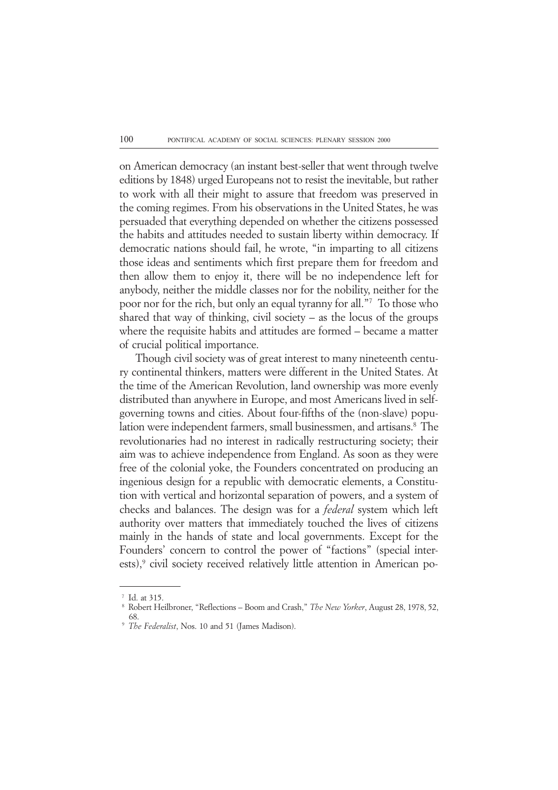on American democracy (an instant best-seller that went through twelve editions by 1848) urged Europeans not to resist the inevitable, but rather to work with all their might to assure that freedom was preserved in the coming regimes. From his observations in the United States, he was persuaded that everything depended on whether the citizens possessed the habits and attitudes needed to sustain liberty within democracy. If democratic nations should fail, he wrote, "in imparting to all citizens those ideas and sentiments which first prepare them for freedom and then allow them to enjoy it, there will be no independence left for anybody, neither the middle classes nor for the nobility, neither for the poor nor for the rich, but only an equal tyranny for all."7 To those who shared that way of thinking, civil society – as the locus of the groups where the requisite habits and attitudes are formed – became a matter of crucial political importance.

Though civil society was of great interest to many nineteenth century continental thinkers, matters were different in the United States. At the time of the American Revolution, land ownership was more evenly distributed than anywhere in Europe, and most Americans lived in selfgoverning towns and cities. About four-fifths of the (non-slave) population were independent farmers, small businessmen, and artisans.<sup>8</sup> The revolutionaries had no interest in radically restructuring society; their aim was to achieve independence from England. As soon as they were free of the colonial yoke, the Founders concentrated on producing an ingenious design for a republic with democratic elements, a Constitution with vertical and horizontal separation of powers, and a system of checks and balances. The design was for a *federal* system which left authority over matters that immediately touched the lives of citizens mainly in the hands of state and local governments. Except for the Founders' concern to control the power of "factions" (special interests),<sup>9</sup> civil society received relatively little attention in American po-

<sup>&</sup>lt;sup>7</sup> Id. at 315.

<sup>18</sup> Robert Heilbroner, "Reflections – Boom and Crash," *The New Yorker*, August 28, 1978, 52, 68.

<sup>19</sup> *The Federalist*, Nos. 10 and 51 (James Madison).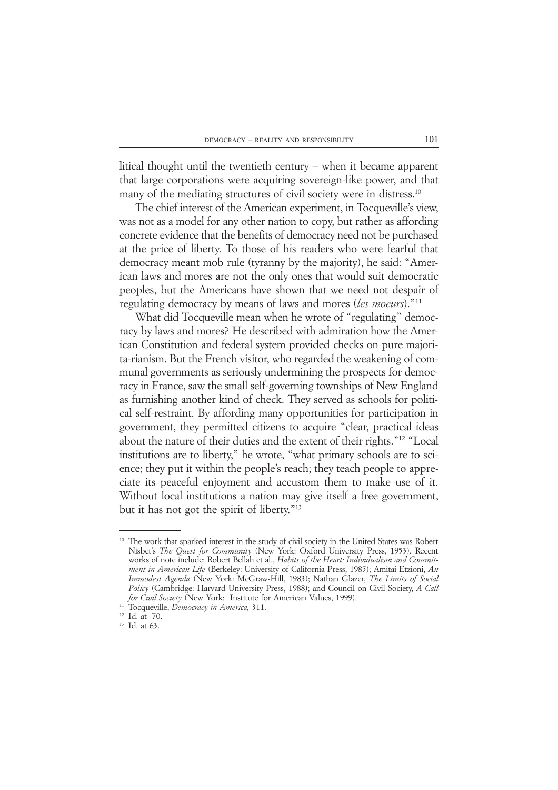litical thought until the twentieth century – when it became apparent that large corporations were acquiring sovereign-like power, and that many of the mediating structures of civil society were in distress.<sup>10</sup>

The chief interest of the American experiment, in Tocqueville's view, was not as a model for any other nation to copy, but rather as affording concrete evidence that the benefits of democracy need not be purchased at the price of liberty. To those of his readers who were fearful that democracy meant mob rule (tyranny by the majority), he said: "American laws and mores are not the only ones that would suit democratic peoples, but the Americans have shown that we need not despair of regulating democracy by means of laws and mores (*les moeurs*)."11

What did Tocqueville mean when he wrote of "regulating" democracy by laws and mores? He described with admiration how the American Constitution and federal system provided checks on pure majorita-rianism. But the French visitor, who regarded the weakening of communal governments as seriously undermining the prospects for democracy in France, saw the small self-governing townships of New England as furnishing another kind of check. They served as schools for political self-restraint. By affording many opportunities for participation in government, they permitted citizens to acquire "clear, practical ideas about the nature of their duties and the extent of their rights."12 "Local institutions are to liberty," he wrote, "what primary schools are to science; they put it within the people's reach; they teach people to appreciate its peaceful enjoyment and accustom them to make use of it. Without local institutions a nation may give itself a free government, but it has not got the spirit of liberty."13

<sup>&</sup>lt;sup>10</sup> The work that sparked interest in the study of civil society in the United States was Robert Nisbet's *The Quest for Community* (New York: Oxford University Press, 1953). Recent works of note include: Robert Bellah et al., *Habits of the Heart: Individualism and Commitment in American Life* (Berkeley: University of California Press, 1985); Amitai Etzioni, *An Immodest Agenda* (New York: McGraw-Hill, 1983); Nathan Glazer, *The Limits of Social Policy* (Cambridge: Harvard University Press, 1988); and Council on Civil Society, *A Call for Civil Society* (New York: Institute for American Values, 1999).

<sup>11</sup> Tocqueville, *Democracy in America,* 311.

<sup>12</sup> Id. at 70.

<sup>&</sup>lt;sup>13</sup> Id. at 63.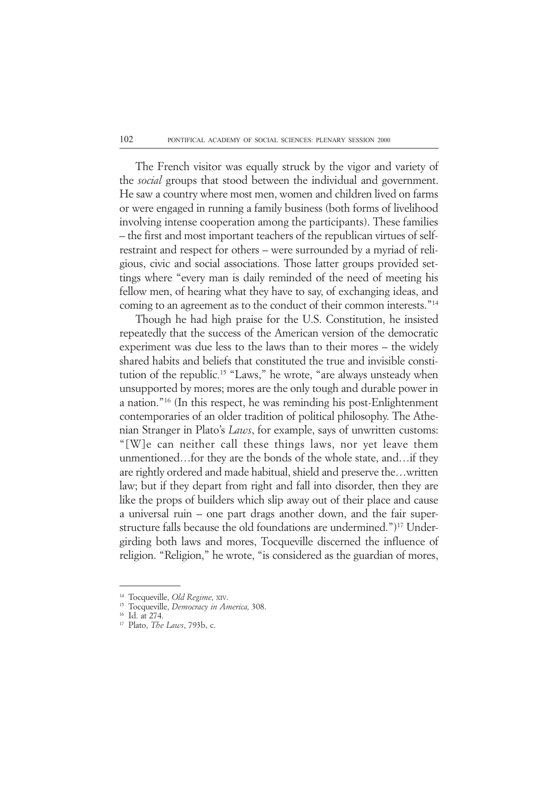The French visitor was equally struck by the vigor and variety of the *social* groups that stood between the individual and government. He saw a country where most men, women and children lived on farms or were engaged in running a family business (both forms of livelihood involving intense cooperation among the participants). These families – the first and most important teachers of the republican virtues of selfrestraint and respect for others – were surrounded by a myriad of religious, civic and social associations. Those latter groups provided settings where "every man is daily reminded of the need of meeting his fellow men, of hearing what they have to say, of exchanging ideas, and coming to an agreement as to the conduct of their common interests."14

Though he had high praise for the U.S. Constitution, he insisted repeatedly that the success of the American version of the democratic experiment was due less to the laws than to their mores *–* the widely shared habits and beliefs that constituted the true and invisible constitution of the republic*.* 15 "Laws," he wrote, "are always unsteady when unsupported by mores; mores are the only tough and durable power in a nation."16 (In this respect, he was reminding his post-Enlightenment contemporaries of an older tradition of political philosophy. The Athenian Stranger in Plato's *Laws*, for example, says of unwritten customs: "[W]e can neither call these things laws, nor yet leave them unmentioned…for they are the bonds of the whole state, and…if they are rightly ordered and made habitual, shield and preserve the…written law; but if they depart from right and fall into disorder, then they are like the props of builders which slip away out of their place and cause a universal ruin – one part drags another down, and the fair superstructure falls because the old foundations are undermined.")<sup>17</sup> Undergirding both laws and mores, Tocqueville discerned the influence of religion. "Religion," he wrote, "is considered as the guardian of mores,

<sup>14</sup> Tocqueville, *Old Regime*, XIV.

<sup>15</sup> Tocqueville, *Democracy in America,* 308.

<sup>16</sup> Id. at 274.

<sup>17</sup> Plato, *The Laws*, 793b, c.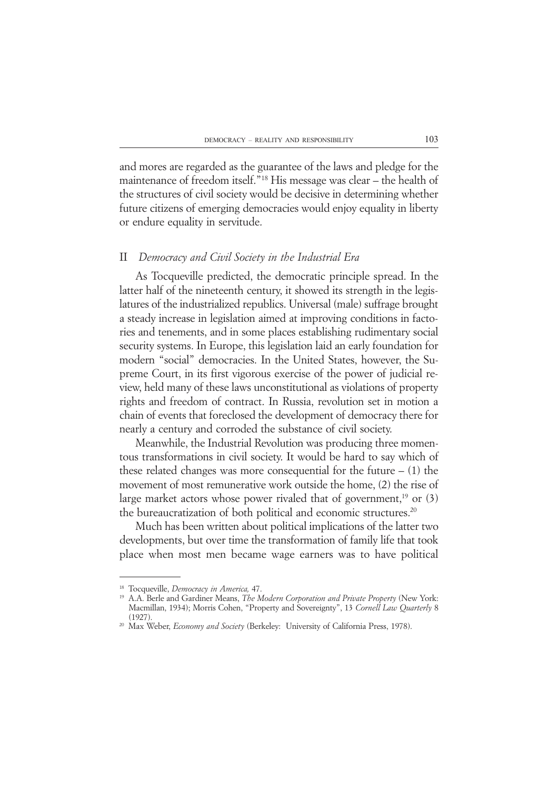and mores are regarded as the guarantee of the laws and pledge for the maintenance of freedom itself."18 His message was clear – the health of the structures of civil society would be decisive in determining whether future citizens of emerging democracies would enjoy equality in liberty or endure equality in servitude.

### II *Democracy and Civil Society in the Industrial Era*

As Tocqueville predicted, the democratic principle spread. In the latter half of the nineteenth century, it showed its strength in the legislatures of the industrialized republics. Universal (male) suffrage brought a steady increase in legislation aimed at improving conditions in factories and tenements, and in some places establishing rudimentary social security systems. In Europe, this legislation laid an early foundation for modern "social" democracies. In the United States, however, the Supreme Court, in its first vigorous exercise of the power of judicial review, held many of these laws unconstitutional as violations of property rights and freedom of contract. In Russia, revolution set in motion a chain of events that foreclosed the development of democracy there for nearly a century and corroded the substance of civil society.

Meanwhile, the Industrial Revolution was producing three momentous transformations in civil society. It would be hard to say which of these related changes was more consequential for the future  $- (1)$  the movement of most remunerative work outside the home, (2) the rise of large market actors whose power rivaled that of government,<sup>19</sup> or  $(3)$ the bureaucratization of both political and economic structures.20

Much has been written about political implications of the latter two developments, but over time the transformation of family life that took place when most men became wage earners was to have political

<sup>18</sup> Tocqueville, *Democracy in America,* 47.

<sup>19</sup> A.A. Berle and Gardiner Means, *The Modern Corporation and Private Property* (New York: Macmillan, 1934); Morris Cohen, "Property and Sovereignty", 13 *Cornell Law Quarterly* 8  $(1927)$ 

<sup>20</sup> Max Weber, *Economy and Society* (Berkeley: University of California Press, 1978).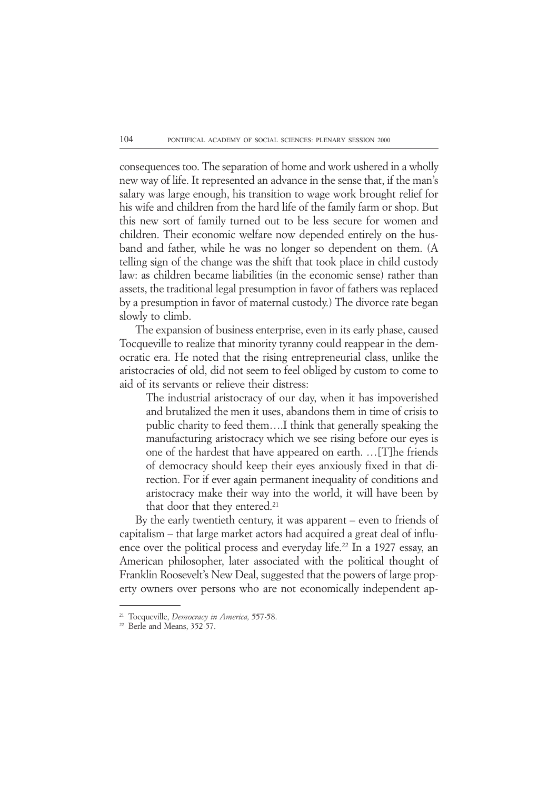consequences too. The separation of home and work ushered in a wholly new way of life. It represented an advance in the sense that, if the man's salary was large enough, his transition to wage work brought relief for his wife and children from the hard life of the family farm or shop. But this new sort of family turned out to be less secure for women and children. Their economic welfare now depended entirely on the husband and father, while he was no longer so dependent on them. (A telling sign of the change was the shift that took place in child custody law: as children became liabilities (in the economic sense) rather than assets, the traditional legal presumption in favor of fathers was replaced by a presumption in favor of maternal custody.) The divorce rate began slowly to climb.

The expansion of business enterprise, even in its early phase, caused Tocqueville to realize that minority tyranny could reappear in the democratic era. He noted that the rising entrepreneurial class, unlike the aristocracies of old, did not seem to feel obliged by custom to come to aid of its servants or relieve their distress:

The industrial aristocracy of our day, when it has impoverished and brutalized the men it uses, abandons them in time of crisis to public charity to feed them….I think that generally speaking the manufacturing aristocracy which we see rising before our eyes is one of the hardest that have appeared on earth. …[T]he friends of democracy should keep their eyes anxiously fixed in that direction. For if ever again permanent inequality of conditions and aristocracy make their way into the world, it will have been by that door that they entered.<sup>21</sup>

By the early twentieth century, it was apparent – even to friends of capitalism – that large market actors had acquired a great deal of influence over the political process and everyday life.<sup>22</sup> In a 1927 essay, an American philosopher, later associated with the political thought of Franklin Roosevelt's New Deal, suggested that the powers of large property owners over persons who are not economically independent ap-

<sup>21</sup> Tocqueville, *Democracy in America,* 557-58.

<sup>&</sup>lt;sup>22</sup> Berle and Means, 352-57.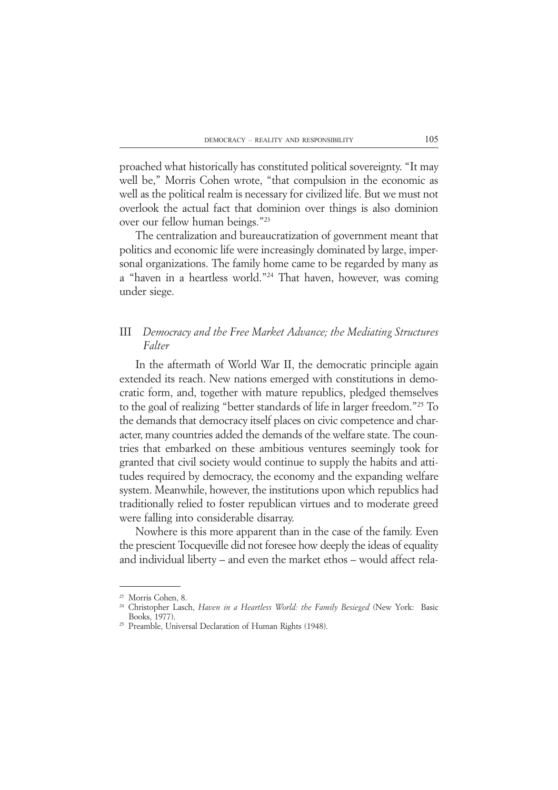proached what historically has constituted political sovereignty. "It may well be," Morris Cohen wrote, "that compulsion in the economic as well as the political realm is necessary for civilized life. But we must not overlook the actual fact that dominion over things is also dominion over our fellow human beings."23

The centralization and bureaucratization of government meant that politics and economic life were increasingly dominated by large, impersonal organizations. The family home came to be regarded by many as a "haven in a heartless world."24 That haven, however, was coming under siege.

# III *Democracy and the Free Market Advance; the Mediating Structures Falter*

In the aftermath of World War II, the democratic principle again extended its reach. New nations emerged with constitutions in democratic form, and, together with mature republics, pledged themselves to the goal of realizing "better standards of life in larger freedom."25 To the demands that democracy itself places on civic competence and character, many countries added the demands of the welfare state. The countries that embarked on these ambitious ventures seemingly took for granted that civil society would continue to supply the habits and attitudes required by democracy, the economy and the expanding welfare system. Meanwhile, however, the institutions upon which republics had traditionally relied to foster republican virtues and to moderate greed were falling into considerable disarray.

Nowhere is this more apparent than in the case of the family. Even the prescient Tocqueville did not foresee how deeply the ideas of equality and individual liberty – and even the market ethos – would affect rela-

<sup>23</sup> Morris Cohen, 8.

<sup>24</sup> Christopher Lasch, *Haven in a Heartless World: the Family Besieged* (New York: Basic Books, 1977).

<sup>25</sup> Preamble, Universal Declaration of Human Rights (1948).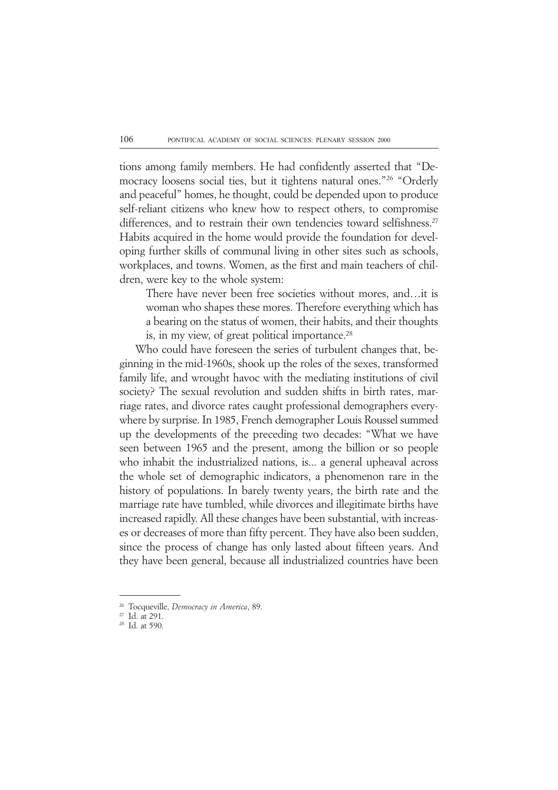tions among family members. He had confidently asserted that "Democracy loosens social ties, but it tightens natural ones."26 "Orderly and peaceful" homes, he thought, could be depended upon to produce self-reliant citizens who knew how to respect others, to compromise differences, and to restrain their own tendencies toward selfishness.<sup>27</sup> Habits acquired in the home would provide the foundation for developing further skills of communal living in other sites such as schools, workplaces, and towns. Women, as the first and main teachers of children, were key to the whole system:

There have never been free societies without mores, and…it is woman who shapes these mores. Therefore everything which has a bearing on the status of women, their habits, and their thoughts is, in my view, of great political importance.<sup>28</sup>

Who could have foreseen the series of turbulent changes that, beginning in the mid-1960s, shook up the roles of the sexes, transformed family life, and wrought havoc with the mediating institutions of civil society? The sexual revolution and sudden shifts in birth rates, marriage rates, and divorce rates caught professional demographers everywhere by surprise. In 1985, French demographer Louis Roussel summed up the developments of the preceding two decades: "What we have seen between 1965 and the present, among the billion or so people who inhabit the industrialized nations, is... a general upheaval across the whole set of demographic indicators, a phenomenon rare in the history of populations. In barely twenty years, the birth rate and the marriage rate have tumbled, while divorces and illegitimate births have increased rapidly. All these changes have been substantial, with increases or decreases of more than fifty percent. They have also been sudden, since the process of change has only lasted about fifteen years. And they have been general, because all industrialized countries have been

<sup>26</sup> Tocqueville, *Democracy in America*, 89.

<sup>27</sup> Id. at 291.

<sup>28</sup> Id. at 590.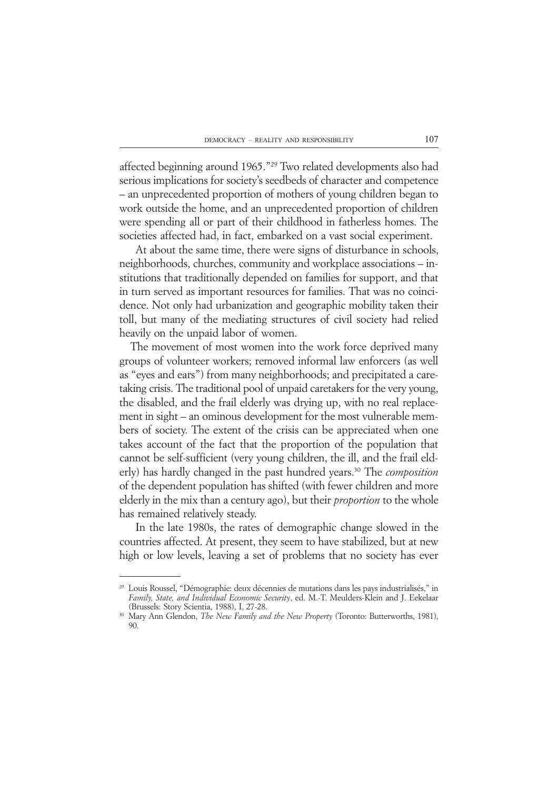affected beginning around 1965."29 Two related developments also had serious implications for society's seedbeds of character and competence – an unprecedented proportion of mothers of young children began to work outside the home, and an unprecedented proportion of children were spending all or part of their childhood in fatherless homes. The societies affected had, in fact, embarked on a vast social experiment.

At about the same time, there were signs of disturbance in schools, neighborhoods, churches, community and workplace associations – institutions that traditionally depended on families for support, and that in turn served as important resources for families. That was no coincidence. Not only had urbanization and geographic mobility taken their toll, but many of the mediating structures of civil society had relied heavily on the unpaid labor of women.

 The movement of most women into the work force deprived many groups of volunteer workers; removed informal law enforcers (as well as "eyes and ears") from many neighborhoods; and precipitated a caretaking crisis. The traditional pool of unpaid caretakers for the very young, the disabled, and the frail elderly was drying up, with no real replacement in sight – an ominous development for the most vulnerable members of society. The extent of the crisis can be appreciated when one takes account of the fact that the proportion of the population that cannot be self-sufficient (very young children, the ill, and the frail elderly) has hardly changed in the past hundred years.30 The *composition* of the dependent population has shifted (with fewer children and more elderly in the mix than a century ago), but their *proportion* to the whole has remained relatively steady.

In the late 1980s, the rates of demographic change slowed in the countries affected. At present, they seem to have stabilized, but at new high or low levels, leaving a set of problems that no society has ever

<sup>29</sup> Louis Roussel, "Démographie: deux décennies de mutations dans les pays industrialisés," in *Family, State, and Individual Economic Security*, ed. M.-T. Meulders-Klein and J. Eekelaar (Brussels: Story Scientia, 1988), I, 27-28.

<sup>30</sup> Mary Ann Glendon, *The New Family and the New Property* (Toronto: Butterworths, 1981),  $90$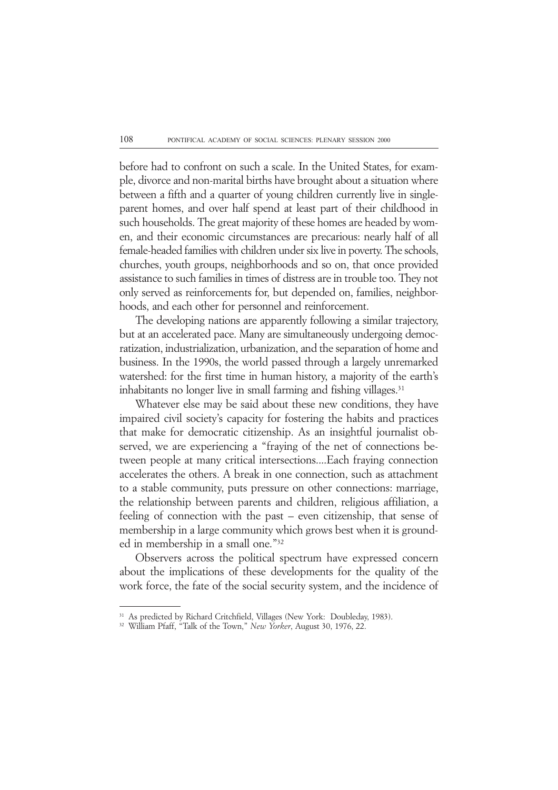before had to confront on such a scale. In the United States, for example, divorce and non-marital births have brought about a situation where between a fifth and a quarter of young children currently live in singleparent homes, and over half spend at least part of their childhood in such households. The great majority of these homes are headed by women, and their economic circumstances are precarious: nearly half of all female-headed families with children under six live in poverty. The schools, churches, youth groups, neighborhoods and so on, that once provided assistance to such families in times of distress are in trouble too. They not only served as reinforcements for, but depended on, families, neighborhoods, and each other for personnel and reinforcement.

The developing nations are apparently following a similar trajectory, but at an accelerated pace. Many are simultaneously undergoing democratization, industrialization, urbanization, and the separation of home and business. In the 1990s, the world passed through a largely unremarked watershed: for the first time in human history, a majority of the earth's inhabitants no longer live in small farming and fishing villages.<sup>31</sup>

Whatever else may be said about these new conditions, they have impaired civil society's capacity for fostering the habits and practices that make for democratic citizenship. As an insightful journalist observed, we are experiencing a "fraying of the net of connections between people at many critical intersections....Each fraying connection accelerates the others. A break in one connection, such as attachment to a stable community, puts pressure on other connections: marriage, the relationship between parents and children, religious affiliation, a feeling of connection with the past – even citizenship, that sense of membership in a large community which grows best when it is grounded in membership in a small one."32

Observers across the political spectrum have expressed concern about the implications of these developments for the quality of the work force, the fate of the social security system, and the incidence of

<sup>31</sup> As predicted by Richard Critchfield, Villages (New York: Doubleday, 1983).

<sup>32</sup> William Pfaff, "Talk of the Town," *New Yorker*, August 30, 1976, 22.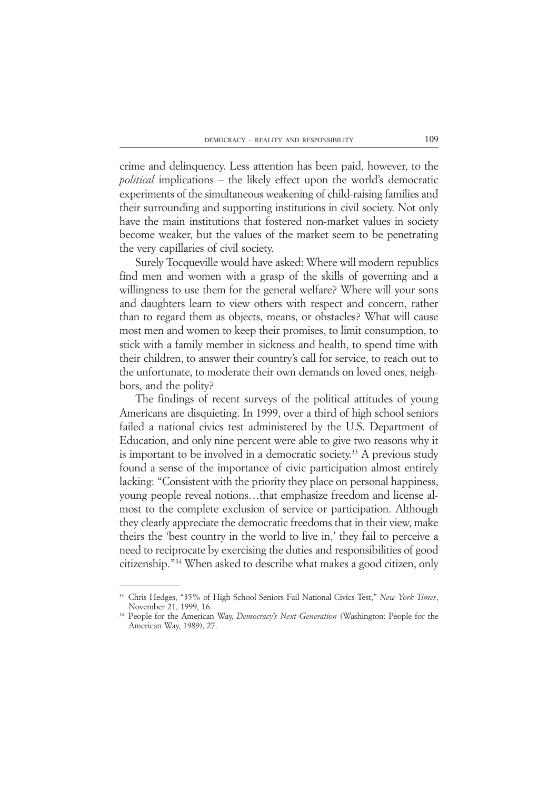crime and delinquency. Less attention has been paid, however, to the *political* implications – the likely effect upon the world's democratic experiments of the simultaneous weakening of child-raising families and their surrounding and supporting institutions in civil society. Not only have the main institutions that fostered non-market values in society become weaker, but the values of the market seem to be penetrating the very capillaries of civil society.

Surely Tocqueville would have asked: Where will modern republics find men and women with a grasp of the skills of governing and a willingness to use them for the general welfare? Where will your sons and daughters learn to view others with respect and concern, rather than to regard them as objects, means, or obstacles? What will cause most men and women to keep their promises, to limit consumption, to stick with a family member in sickness and health, to spend time with their children, to answer their country's call for service, to reach out to the unfortunate, to moderate their own demands on loved ones, neighbors, and the polity?

The findings of recent surveys of the political attitudes of young Americans are disquieting. In 1999, over a third of high school seniors failed a national civics test administered by the U.S. Department of Education, and only nine percent were able to give two reasons why it is important to be involved in a democratic society.<sup>33</sup> A previous study found a sense of the importance of civic participation almost entirely lacking: "Consistent with the priority they place on personal happiness, young people reveal notions…that emphasize freedom and license almost to the complete exclusion of service or participation. Although they clearly appreciate the democratic freedoms that in their view, make theirs the 'best country in the world to live in,' they fail to perceive a need to reciprocate by exercising the duties and responsibilities of good citizenship."34 When asked to describe what makes a good citizen, only

<sup>33</sup> Chris Hedges, "35% of High School Seniors Fail National Civics Test," *New York Times*, November 21, 1999, 16.

<sup>34</sup> People for the American Way, *Democracy's Next Generation* (Washington: People for the American Way, 1989), 27.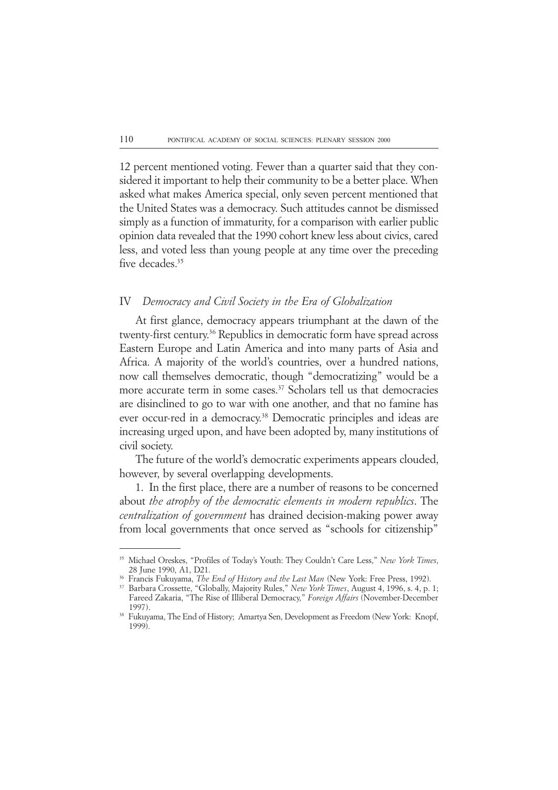12 percent mentioned voting. Fewer than a quarter said that they considered it important to help their community to be a better place. When asked what makes America special, only seven percent mentioned that the United States was a democracy. Such attitudes cannot be dismissed simply as a function of immaturity, for a comparison with earlier public opinion data revealed that the 1990 cohort knew less about civics, cared less, and voted less than young people at any time over the preceding five decades.<sup>35</sup>

### IV *Democracy and Civil Society in the Era of Globalization*

At first glance, democracy appears triumphant at the dawn of the twenty-first century.36 Republics in democratic form have spread across Eastern Europe and Latin America and into many parts of Asia and Africa. A majority of the world's countries, over a hundred nations, now call themselves democratic, though "democratizing" would be a more accurate term in some cases.<sup>37</sup> Scholars tell us that democracies are disinclined to go to war with one another, and that no famine has ever occur-red in a democracy.<sup>38</sup> Democratic principles and ideas are increasing urged upon, and have been adopted by, many institutions of civil society.

The future of the world's democratic experiments appears clouded, however, by several overlapping developments.

1. In the first place, there are a number of reasons to be concerned about *the atrophy of the democratic elements in modern republics*. The *centralization of government* has drained decision-making power away from local governments that once served as "schools for citizenship"

<sup>35</sup> Michael Oreskes, "Profiles of Today's Youth: They Couldn't Care Less," *New York Times*, 28 June 1990, A1, D21.

<sup>36</sup> Francis Fukuyama, *The End of History and the Last Man* (New York: Free Press, 1992).

<sup>37</sup> Barbara Crossette, "Globally, Majority Rules," *New York Times*, August 4, 1996, s. 4, p. 1; Fareed Zakaria, "The Rise of Illiberal Democracy," *Foreign Affairs* (November-December 1997).

<sup>&</sup>lt;sup>38</sup> Fukuyama, The End of History; Amartya Sen, Development as Freedom (New York: Knopf, 1999).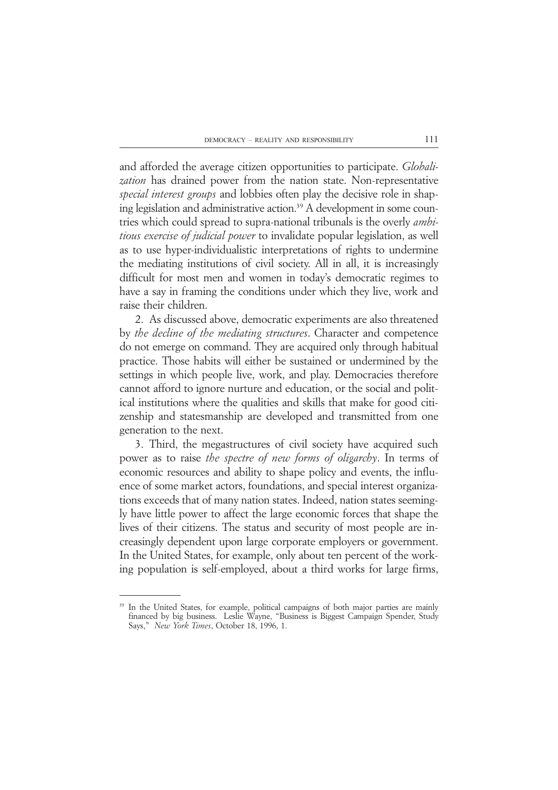and afforded the average citizen opportunities to participate. *Globalization* has drained power from the nation state. Non-representative *special interest groups* and lobbies often play the decisive role in shaping legislation and administrative action.<sup>39</sup> A development in some countries which could spread to supra-national tribunals is the overly *ambitious exercise of judicial power* to invalidate popular legislation, as well as to use hyper-individualistic interpretations of rights to undermine the mediating institutions of civil society. All in all, it is increasingly difficult for most men and women in today's democratic regimes to have a say in framing the conditions under which they live, work and raise their children.

2. As discussed above, democratic experiments are also threatened by *the decline of the mediating structures*. Character and competence do not emerge on command. They are acquired only through habitual practice. Those habits will either be sustained or undermined by the settings in which people live, work, and play. Democracies therefore cannot afford to ignore nurture and education, or the social and political institutions where the qualities and skills that make for good citizenship and statesmanship are developed and transmitted from one generation to the next.

3. Third, the megastructures of civil society have acquired such power as to raise *the spectre of new forms of oligarchy*. In terms of economic resources and ability to shape policy and events, the influence of some market actors, foundations, and special interest organizations exceeds that of many nation states. Indeed, nation states seemingly have little power to affect the large economic forces that shape the lives of their citizens. The status and security of most people are increasingly dependent upon large corporate employers or government. In the United States, for example, only about ten percent of the working population is self-employed, about a third works for large firms,

<sup>&</sup>lt;sup>39</sup> In the United States, for example, political campaigns of both major parties are mainly financed by big business. Leslie Wayne, "Business is Biggest Campaign Spender, Study Says," *New York Times*, October 18, 1996, 1.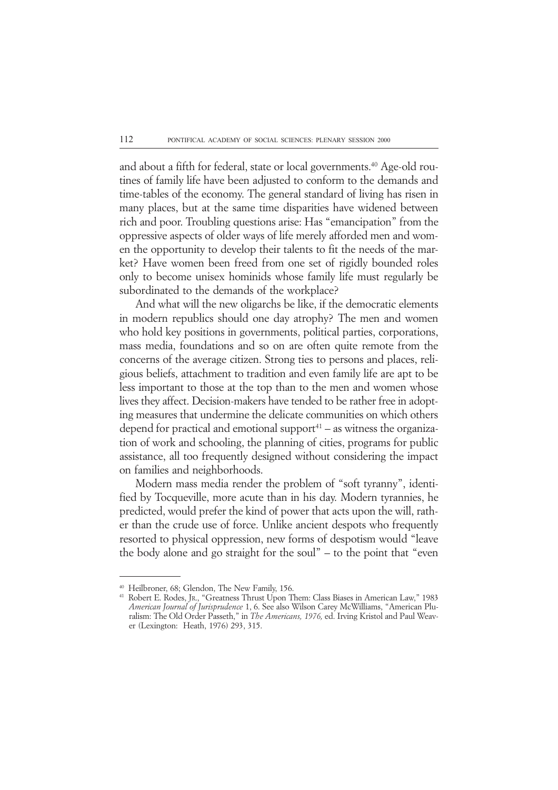and about a fifth for federal, state or local governments.<sup>40</sup> Age-old routines of family life have been adjusted to conform to the demands and time-tables of the economy. The general standard of living has risen in many places, but at the same time disparities have widened between rich and poor. Troubling questions arise: Has "emancipation" from the oppressive aspects of older ways of life merely afforded men and women the opportunity to develop their talents to fit the needs of the market? Have women been freed from one set of rigidly bounded roles only to become unisex hominids whose family life must regularly be subordinated to the demands of the workplace?

And what will the new oligarchs be like, if the democratic elements in modern republics should one day atrophy? The men and women who hold key positions in governments, political parties, corporations, mass media, foundations and so on are often quite remote from the concerns of the average citizen. Strong ties to persons and places, religious beliefs, attachment to tradition and even family life are apt to be less important to those at the top than to the men and women whose lives they affect. Decision-makers have tended to be rather free in adopting measures that undermine the delicate communities on which others depend for practical and emotional support<sup> $41$ </sup> – as witness the organization of work and schooling, the planning of cities, programs for public assistance, all too frequently designed without considering the impact on families and neighborhoods.

Modern mass media render the problem of "soft tyranny", identified by Tocqueville, more acute than in his day. Modern tyrannies, he predicted, would prefer the kind of power that acts upon the will, rather than the crude use of force. Unlike ancient despots who frequently resorted to physical oppression, new forms of despotism would "leave the body alone and go straight for the soul" – to the point that "even

<sup>40</sup> Heilbroner, 68; Glendon, The New Family, 156.

<sup>41</sup> Robert E. Rodes, JR., "Greatness Thrust Upon Them: Class Biases in American Law," 1983 *American Journal of Jurisprudence* 1, 6. See also Wilson Carey McWilliams, "American Pluralism: The Old Order Passeth," in *The Americans, 1976,* ed. Irving Kristol and Paul Weaver (Lexington: Heath, 1976) 293, 315.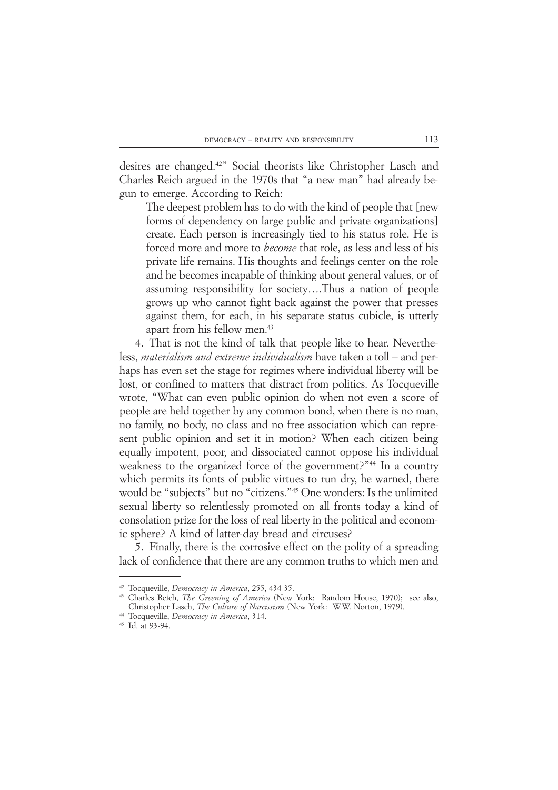desires are changed.42" Social theorists like Christopher Lasch and Charles Reich argued in the 1970s that "a new man" had already begun to emerge. According to Reich:

The deepest problem has to do with the kind of people that [new forms of dependency on large public and private organizations] create. Each person is increasingly tied to his status role. He is forced more and more to *become* that role, as less and less of his private life remains. His thoughts and feelings center on the role and he becomes incapable of thinking about general values, or of assuming responsibility for society….Thus a nation of people grows up who cannot fight back against the power that presses against them, for each, in his separate status cubicle, is utterly apart from his fellow men.43

4. That is not the kind of talk that people like to hear. Nevertheless, *materialism and extreme individualism* have taken a toll – and perhaps has even set the stage for regimes where individual liberty will be lost, or confined to matters that distract from politics. As Tocqueville wrote, "What can even public opinion do when not even a score of people are held together by any common bond, when there is no man, no family, no body, no class and no free association which can represent public opinion and set it in motion? When each citizen being equally impotent, poor, and dissociated cannot oppose his individual weakness to the organized force of the government?"<sup>44</sup> In a country which permits its fonts of public virtues to run dry, he warned, there would be "subjects" but no "citizens."45 One wonders: Is the unlimited sexual liberty so relentlessly promoted on all fronts today a kind of consolation prize for the loss of real liberty in the political and economic sphere? A kind of latter-day bread and circuses?

5. Finally, there is the corrosive effect on the polity of a spreading lack of confidence that there are any common truths to which men and

<sup>42</sup> Tocqueville, *Democracy in America*, 255, 434-35.

<sup>43</sup> Charles Reich, *The Greening of America* (New York: Random House, 1970); see also, Christopher Lasch, *The Culture of Narcissism* (New York: W.W. Norton, 1979).

<sup>44</sup> Tocqueville, *Democracy in America*, 314.

<sup>45</sup> Id. at 93-94.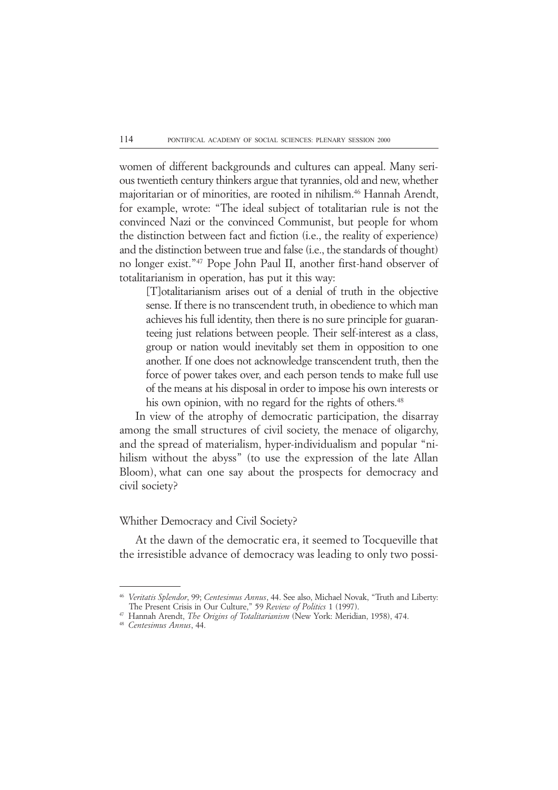women of different backgrounds and cultures can appeal. Many serious twentieth century thinkers argue that tyrannies, old and new, whether majoritarian or of minorities, are rooted in nihilism.46 Hannah Arendt, for example, wrote: "The ideal subject of totalitarian rule is not the convinced Nazi or the convinced Communist, but people for whom the distinction between fact and fiction (i.e., the reality of experience) and the distinction between true and false (i.e., the standards of thought) no longer exist."47 Pope John Paul II, another first-hand observer of totalitarianism in operation, has put it this way:

[T]otalitarianism arises out of a denial of truth in the objective sense. If there is no transcendent truth, in obedience to which man achieves his full identity, then there is no sure principle for guaranteeing just relations between people. Their self-interest as a class, group or nation would inevitably set them in opposition to one another. If one does not acknowledge transcendent truth, then the force of power takes over, and each person tends to make full use of the means at his disposal in order to impose his own interests or his own opinion, with no regard for the rights of others.<sup>48</sup>

In view of the atrophy of democratic participation, the disarray among the small structures of civil society, the menace of oligarchy, and the spread of materialism, hyper-individualism and popular "nihilism without the abyss" (to use the expression of the late Allan Bloom), what can one say about the prospects for democracy and civil society?

## Whither Democracy and Civil Society?

At the dawn of the democratic era, it seemed to Tocqueville that the irresistible advance of democracy was leading to only two possi-

<sup>46</sup> *Veritatis Splendor*, 99; *Centesimus Annus*, 44. See also, Michael Novak, "Truth and Liberty: The Present Crisis in Our Culture," 59 *Review of Politics* 1 (1997).

<sup>47</sup> Hannah Arendt, *The Origins of Totalitarianism* (New York: Meridian, 1958), 474.

<sup>48</sup> *Centesimus Annus*, 44.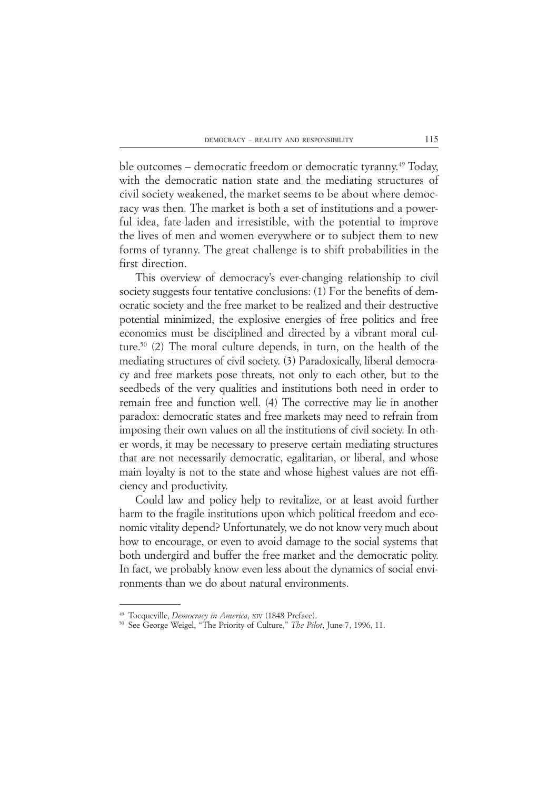ble outcomes – democratic freedom or democratic tyranny.<sup>49</sup> Today, with the democratic nation state and the mediating structures of civil society weakened, the market seems to be about where democracy was then. The market is both a set of institutions and a powerful idea, fate-laden and irresistible, with the potential to improve the lives of men and women everywhere or to subject them to new forms of tyranny. The great challenge is to shift probabilities in the first direction.

This overview of democracy's ever-changing relationship to civil society suggests four tentative conclusions: (1) For the benefits of democratic society and the free market to be realized and their destructive potential minimized, the explosive energies of free politics and free economics must be disciplined and directed by a vibrant moral culture.50 (2) The moral culture depends, in turn, on the health of the mediating structures of civil society. (3) Paradoxically, liberal democracy and free markets pose threats, not only to each other, but to the seedbeds of the very qualities and institutions both need in order to remain free and function well. (4) The corrective may lie in another paradox: democratic states and free markets may need to refrain from imposing their own values on all the institutions of civil society. In other words, it may be necessary to preserve certain mediating structures that are not necessarily democratic, egalitarian, or liberal, and whose main loyalty is not to the state and whose highest values are not efficiency and productivity.

Could law and policy help to revitalize, or at least avoid further harm to the fragile institutions upon which political freedom and economic vitality depend? Unfortunately, we do not know very much about how to encourage, or even to avoid damage to the social systems that both undergird and buffer the free market and the democratic polity. In fact, we probably know even less about the dynamics of social environments than we do about natural environments.

<sup>49</sup> Tocqueville, *Democracy in America*, XIV (1848 Preface).

<sup>50</sup> See George Weigel, "The Priority of Culture," *The Pilot*, June 7, 1996, 11.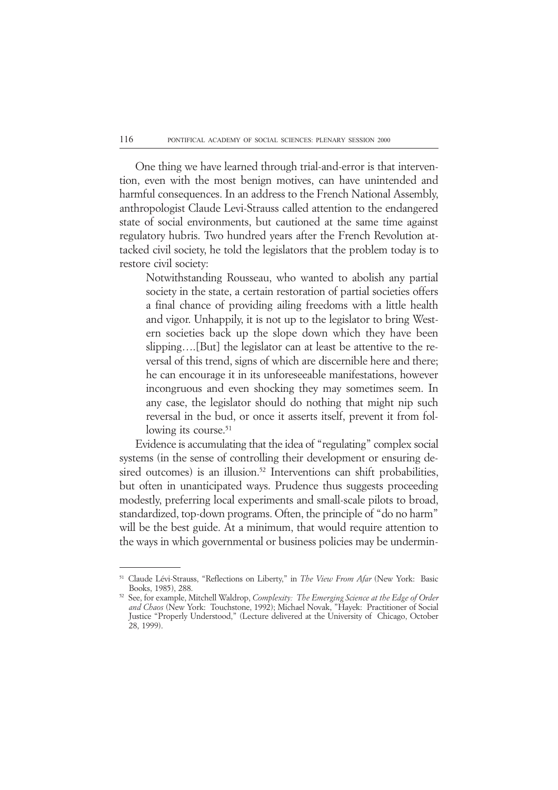One thing we have learned through trial-and-error is that intervention, even with the most benign motives, can have unintended and harmful consequences. In an address to the French National Assembly, anthropologist Claude Levi-Strauss called attention to the endangered state of social environments, but cautioned at the same time against regulatory hubris. Two hundred years after the French Revolution attacked civil society, he told the legislators that the problem today is to restore civil society:

Notwithstanding Rousseau, who wanted to abolish any partial society in the state, a certain restoration of partial societies offers a final chance of providing ailing freedoms with a little health and vigor. Unhappily, it is not up to the legislator to bring Western societies back up the slope down which they have been slipping….[But] the legislator can at least be attentive to the reversal of this trend, signs of which are discernible here and there; he can encourage it in its unforeseeable manifestations, however incongruous and even shocking they may sometimes seem. In any case, the legislator should do nothing that might nip such reversal in the bud, or once it asserts itself, prevent it from following its course.<sup>51</sup>

Evidence is accumulating that the idea of "regulating" complex social systems (in the sense of controlling their development or ensuring desired outcomes) is an illusion.<sup>52</sup> Interventions can shift probabilities, but often in unanticipated ways. Prudence thus suggests proceeding modestly, preferring local experiments and small-scale pilots to broad, standardized, top-down programs. Often, the principle of "do no harm" will be the best guide. At a minimum, that would require attention to the ways in which governmental or business policies may be undermin-

<sup>51</sup> Claude Lévi-Strauss, "Reflections on Liberty," in *The View From Afar* (New York: Basic Books, 1985), 288.

<sup>52</sup> See, for example, Mitchell Waldrop, *Complexity: The Emerging Science at the Edge of Order and Chaos* (New York: Touchstone, 1992); Michael Novak, "Hayek: Practitioner of Social Justice "Properly Understood," (Lecture delivered at the University of Chicago, October 28, 1999).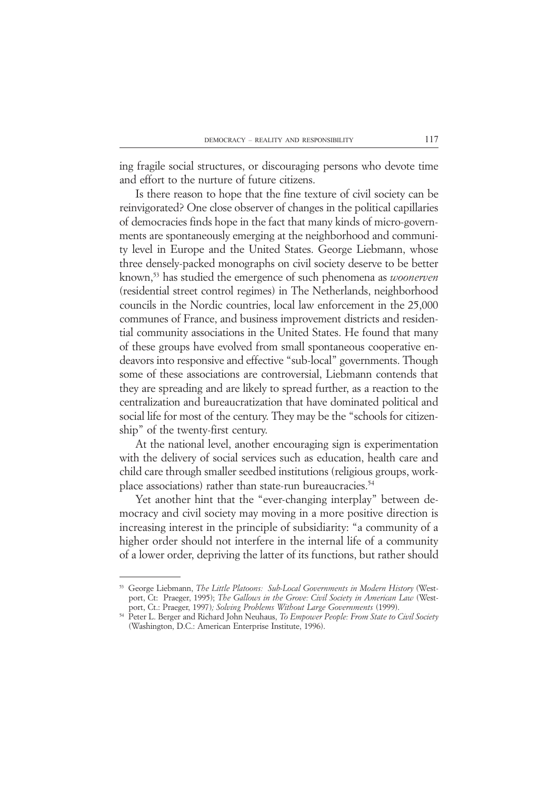ing fragile social structures, or discouraging persons who devote time and effort to the nurture of future citizens.

Is there reason to hope that the fine texture of civil society can be reinvigorated? One close observer of changes in the political capillaries of democracies finds hope in the fact that many kinds of micro-governments are spontaneously emerging at the neighborhood and community level in Europe and the United States. George Liebmann, whose three densely-packed monographs on civil society deserve to be better known,53 has studied the emergence of such phenomena as *woonerven* (residential street control regimes) in The Netherlands, neighborhood councils in the Nordic countries, local law enforcement in the 25,000 communes of France, and business improvement districts and residential community associations in the United States. He found that many of these groups have evolved from small spontaneous cooperative endeavors into responsive and effective "sub-local" governments. Though some of these associations are controversial, Liebmann contends that they are spreading and are likely to spread further, as a reaction to the centralization and bureaucratization that have dominated political and social life for most of the century. They may be the "schools for citizenship" of the twenty-first century.

At the national level, another encouraging sign is experimentation with the delivery of social services such as education, health care and child care through smaller seedbed institutions (religious groups, workplace associations) rather than state-run bureaucracies.<sup>54</sup>

Yet another hint that the "ever-changing interplay" between democracy and civil society may moving in a more positive direction is increasing interest in the principle of subsidiarity: "a community of a higher order should not interfere in the internal life of a community of a lower order, depriving the latter of its functions, but rather should

<sup>53</sup> George Liebmann, *The Little Platoons: Sub-Local Governments in Modern History* (Westport, Ct: Praeger, 1995); *The Gallows in the Grove: Civil Society in American Law* (Westport, Ct.: Praeger, 1997)*; Solving Problems Without Large Governments* (1999).

<sup>54</sup> Peter L. Berger and Richard John Neuhaus, *To Empower People: From State to Civil Society* (Washington, D.C.: American Enterprise Institute, 1996).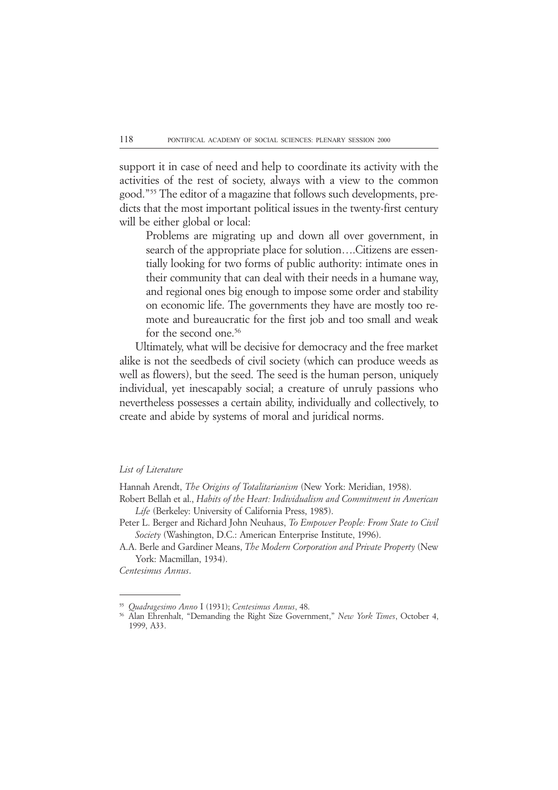support it in case of need and help to coordinate its activity with the activities of the rest of society, always with a view to the common good."55 The editor of a magazine that follows such developments, predicts that the most important political issues in the twenty-first century will be either global or local:

Problems are migrating up and down all over government, in search of the appropriate place for solution….Citizens are essentially looking for two forms of public authority: intimate ones in their community that can deal with their needs in a humane way, and regional ones big enough to impose some order and stability on economic life. The governments they have are mostly too remote and bureaucratic for the first job and too small and weak for the second one.<sup>56</sup>

Ultimately, what will be decisive for democracy and the free market alike is not the seedbeds of civil society (which can produce weeds as well as flowers), but the seed. The seed is the human person, uniquely individual, yet inescapably social; a creature of unruly passions who nevertheless possesses a certain ability, individually and collectively, to create and abide by systems of moral and juridical norms.

#### *List of Literature*

Hannah Arendt, *The Origins of Totalitarianism* (New York: Meridian, 1958).

- Robert Bellah et al., *Habits of the Heart: Individualism and Commitment in American Life* (Berkeley: University of California Press, 1985).
- Peter L. Berger and Richard John Neuhaus, *To Empower People: From State to Civil Society* (Washington, D.C.: American Enterprise Institute, 1996).

A.A. Berle and Gardiner Means, *The Modern Corporation and Private Property* (New York: Macmillan, 1934).

*Centesimus Annus*.

<sup>55</sup> *Quadragesimo Anno* I (1931); *Centesimus Annus*, 48.

<sup>56</sup> Alan Ehrenhalt, "Demanding the Right Size Government," *New York Times*, October 4, 1999, A33.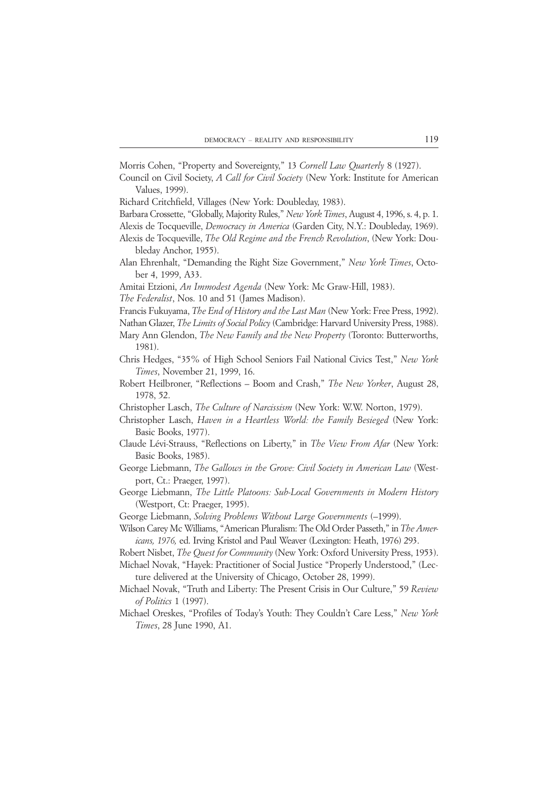Morris Cohen, "Property and Sovereignty," 13 *Cornell Law Quarterly* 8 (1927).

Council on Civil Society, *A Call for Civil Society* (New York: Institute for American Values, 1999).

Richard Critchfield, Villages (New York: Doubleday, 1983).

Barbara Crossette, "Globally, Majority Rules," *New York Times*, August 4, 1996, s. 4, p. 1.

Alexis de Tocqueville, *Democracy in America* (Garden City, N.Y.: Doubleday, 1969).

- Alexis de Tocqueville, *The Old Regime and the French Revolution*, (New York: Doubleday Anchor, 1955).
- Alan Ehrenhalt, "Demanding the Right Size Government," *New York Times*, October 4, 1999, A33.
- Amitai Etzioni, *An Immodest Agenda* (New York: Mc Graw-Hill, 1983).
- *The Federalist*, Nos. 10 and 51 (James Madison).
- Francis Fukuyama, *The End of History and the Last Man* (New York: Free Press, 1992).

Nathan Glazer, *The Limits of Social Policy* (Cambridge: Harvard University Press, 1988).

Mary Ann Glendon, *The New Family and the New Property* (Toronto: Butterworths, 1981).

- Chris Hedges, "35% of High School Seniors Fail National Civics Test," *New York Times*, November 21, 1999, 16.
- Robert Heilbroner, "Reflections Boom and Crash," *The New Yorker*, August 28, 1978, 52.
- Christopher Lasch, *The Culture of Narcissism* (New York: W.W. Norton, 1979).
- Christopher Lasch, *Haven in a Heartless World: the Family Besieged* (New York: Basic Books, 1977).
- Claude Lévi-Strauss, "Reflections on Liberty," in *The View From Afar* (New York: Basic Books, 1985).
- George Liebmann, *The Gallows in the Grove: Civil Society in American Law* (Westport, Ct.: Praeger, 1997).
- George Liebmann, *The Little Platoons: Sub-Local Governments in Modern History* (Westport, Ct: Praeger, 1995).
- George Liebmann, *Solving Problems Without Large Governments* (–1999).
- Wilson Carey Mc Williams, "American Pluralism: The Old Order Passeth," in *The Americans, 1976,* ed. Irving Kristol and Paul Weaver (Lexington: Heath, 1976) 293.

Robert Nisbet, *The Quest for Community* (New York: Oxford University Press, 1953).

Michael Novak, "Hayek: Practitioner of Social Justice "Properly Understood," (Lecture delivered at the University of Chicago, October 28, 1999).

- Michael Novak, "Truth and Liberty: The Present Crisis in Our Culture," 59 *Review of Politics* 1 (1997).
- Michael Oreskes, "Profiles of Today's Youth: They Couldn't Care Less," *New York Times*, 28 June 1990, A1.